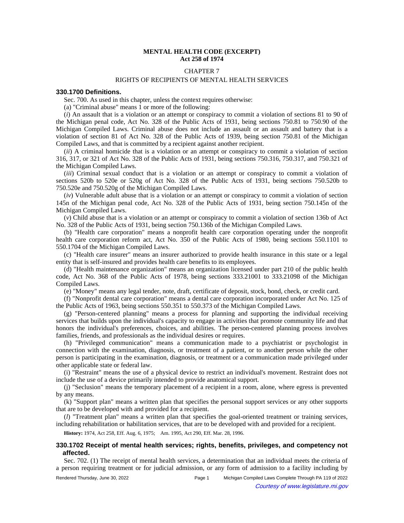# **MENTAL HEALTH CODE (EXCERPT) Act 258 of 1974**

# CHAPTER 7

# RIGHTS OF RECIPIENTS OF MENTAL HEALTH SERVICES

#### **330.1700 Definitions.**

Sec. 700. As used in this chapter, unless the context requires otherwise:

(a) "Criminal abuse" means 1 or more of the following:

(*i*) An assault that is a violation or an attempt or conspiracy to commit a violation of sections 81 to 90 of the Michigan penal code, Act No. 328 of the Public Acts of 1931, being sections 750.81 to 750.90 of the Michigan Compiled Laws. Criminal abuse does not include an assault or an assault and battery that is a violation of section 81 of Act No. 328 of the Public Acts of 1939, being section 750.81 of the Michigan Compiled Laws, and that is committed by a recipient against another recipient.

(*ii*) A criminal homicide that is a violation or an attempt or conspiracy to commit a violation of section 316, 317, or 321 of Act No. 328 of the Public Acts of 1931, being sections 750.316, 750.317, and 750.321 of the Michigan Compiled Laws.

(*iii*) Criminal sexual conduct that is a violation or an attempt or conspiracy to commit a violation of sections 520b to 520e or 520g of Act No. 328 of the Public Acts of 1931, being sections 750.520b to 750.520e and 750.520g of the Michigan Compiled Laws.

(*iv*) Vulnerable adult abuse that is a violation or an attempt or conspiracy to commit a violation of section 145n of the Michigan penal code, Act No. 328 of the Public Acts of 1931, being section 750.145n of the Michigan Compiled Laws.

(*v*) Child abuse that is a violation or an attempt or conspiracy to commit a violation of section 136b of Act No. 328 of the Public Acts of 1931, being section 750.136b of the Michigan Compiled Laws.

(b) "Health care corporation" means a nonprofit health care corporation operating under the nonprofit health care corporation reform act, Act No. 350 of the Public Acts of 1980, being sections 550.1101 to 550.1704 of the Michigan Compiled Laws.

(c) "Health care insurer" means an insurer authorized to provide health insurance in this state or a legal entity that is self-insured and provides health care benefits to its employees.

(d) "Health maintenance organization" means an organization licensed under part 210 of the public health code, Act No. 368 of the Public Acts of 1978, being sections 333.21001 to 333.21098 of the Michigan Compiled Laws.

(e) "Money" means any legal tender, note, draft, certificate of deposit, stock, bond, check, or credit card.

(f) "Nonprofit dental care corporation" means a dental care corporation incorporated under Act No. 125 of the Public Acts of 1963, being sections 550.351 to 550.373 of the Michigan Compiled Laws.

(g) "Person-centered planning" means a process for planning and supporting the individual receiving services that builds upon the individual's capacity to engage in activities that promote community life and that honors the individual's preferences, choices, and abilities. The person-centered planning process involves families, friends, and professionals as the individual desires or requires.

(h) "Privileged communication" means a communication made to a psychiatrist or psychologist in connection with the examination, diagnosis, or treatment of a patient, or to another person while the other person is participating in the examination, diagnosis, or treatment or a communication made privileged under other applicable state or federal law.

(i) "Restraint" means the use of a physical device to restrict an individual's movement. Restraint does not include the use of a device primarily intended to provide anatomical support.

(j) "Seclusion" means the temporary placement of a recipient in a room, alone, where egress is prevented by any means.

(k) "Support plan" means a written plan that specifies the personal support services or any other supports that are to be developed with and provided for a recipient.

(*l*) "Treatment plan" means a written plan that specifies the goal-oriented treatment or training services, including rehabilitation or habilitation services, that are to be developed with and provided for a recipient.

History: 1974, Act 258, Eff. Aug. 6, 1975;-- Am. 1995, Act 290, Eff. Mar. 28, 1996.

# **330.1702 Receipt of mental health services; rights, benefits, privileges, and competency not affected.**

Sec. 702. (1) The receipt of mental health services, a determination that an individual meets the criteria of a person requiring treatment or for judicial admission, or any form of admission to a facility including by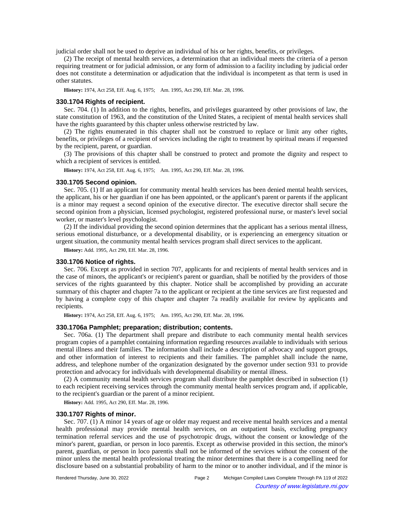judicial order shall not be used to deprive an individual of his or her rights, benefits, or privileges.

(2) The receipt of mental health services, a determination that an individual meets the criteria of a person requiring treatment or for judicial admission, or any form of admission to a facility including by judicial order does not constitute a determination or adjudication that the individual is incompetent as that term is used in other statutes.

History: 1974, Act 258, Eff. Aug. 6, 1975;-- Am. 1995, Act 290, Eff. Mar. 28, 1996.

# **330.1704 Rights of recipient.**

Sec. 704. (1) In addition to the rights, benefits, and privileges guaranteed by other provisions of law, the state constitution of 1963, and the constitution of the United States, a recipient of mental health services shall have the rights guaranteed by this chapter unless otherwise restricted by law.

(2) The rights enumerated in this chapter shall not be construed to replace or limit any other rights, benefits, or privileges of a recipient of services including the right to treatment by spiritual means if requested by the recipient, parent, or guardian.

(3) The provisions of this chapter shall be construed to protect and promote the dignity and respect to which a recipient of services is entitled.

History: 1974, Act 258, Eff. Aug. 6, 1975;-- Am. 1995, Act 290, Eff. Mar. 28, 1996.

### **330.1705 Second opinion.**

Sec. 705. (1) If an applicant for community mental health services has been denied mental health services, the applicant, his or her guardian if one has been appointed, or the applicant's parent or parents if the applicant is a minor may request a second opinion of the executive director. The executive director shall secure the second opinion from a physician, licensed psychologist, registered professional nurse, or master's level social worker, or master's level psychologist.

(2) If the individual providing the second opinion determines that the applicant has a serious mental illness, serious emotional disturbance, or a developmental disability, or is experiencing an emergency situation or urgent situation, the community mental health services program shall direct services to the applicant.

**History:** Add. 1995, Act 290, Eff. Mar. 28, 1996.

## **330.1706 Notice of rights.**

Sec. 706. Except as provided in section 707, applicants for and recipients of mental health services and in the case of minors, the applicant's or recipient's parent or guardian, shall be notified by the providers of those services of the rights guaranteed by this chapter. Notice shall be accomplished by providing an accurate summary of this chapter and chapter 7a to the applicant or recipient at the time services are first requested and by having a complete copy of this chapter and chapter 7a readily available for review by applicants and recipients.

History: 1974, Act 258, Eff. Aug. 6, 1975;-- Am. 1995, Act 290, Eff. Mar. 28, 1996.

#### **330.1706a Pamphlet; preparation; distribution; contents.**

Sec. 706a. (1) The department shall prepare and distribute to each community mental health services program copies of a pamphlet containing information regarding resources available to individuals with serious mental illness and their families. The information shall include a description of advocacy and support groups, and other information of interest to recipients and their families. The pamphlet shall include the name, address, and telephone number of the organization designated by the governor under section 931 to provide protection and advocacy for individuals with developmental disability or mental illness.

(2) A community mental health services program shall distribute the pamphlet described in subsection (1) to each recipient receiving services through the community mental health services program and, if applicable, to the recipient's guardian or the parent of a minor recipient.

**History:** Add. 1995, Act 290, Eff. Mar. 28, 1996.

### **330.1707 Rights of minor.**

Sec. 707. (1) A minor 14 years of age or older may request and receive mental health services and a mental health professional may provide mental health services, on an outpatient basis, excluding pregnancy termination referral services and the use of psychotropic drugs, without the consent or knowledge of the minor's parent, guardian, or person in loco parentis. Except as otherwise provided in this section, the minor's parent, guardian, or person in loco parentis shall not be informed of the services without the consent of the minor unless the mental health professional treating the minor determines that there is a compelling need for disclosure based on a substantial probability of harm to the minor or to another individual, and if the minor is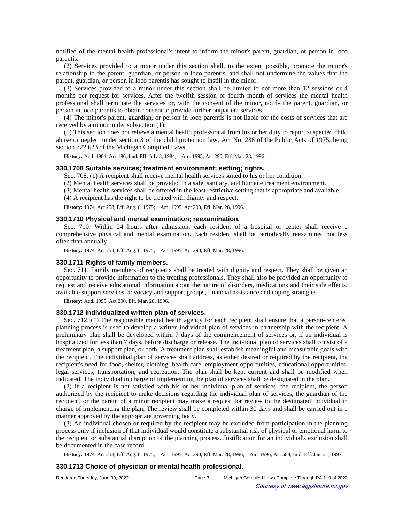notified of the mental health professional's intent to inform the minor's parent, guardian, or person in loco parentis.

(2) Services provided to a minor under this section shall, to the extent possible, promote the minor's relationship to the parent, guardian, or person in loco parentis, and shall not undermine the values that the parent, guardian, or person in loco parentis has sought to instill in the minor.

(3) Services provided to a minor under this section shall be limited to not more than 12 sessions or 4 months per request for services. After the twelfth session or fourth month of services the mental health professional shall terminate the services or, with the consent of the minor, notify the parent, guardian, or person in loco parentis to obtain consent to provide further outpatient services.

(4) The minor's parent, guardian, or person in loco parentis is not liable for the costs of services that are received by a minor under subsection (1).

(5) This section does not relieve a mental health professional from his or her duty to report suspected child abuse or neglect under section 3 of the child protection law, Act No. 238 of the Public Acts of 1975, being section 722.623 of the Michigan Compiled Laws.

History: Add. 1984, Act 186, Imd. Eff. July 3, 1984;- Am. 1995, Act 290, Eff. Mar. 28, 1996.

#### **330.1708 Suitable services; treatment environment; setting; rights.**

Sec. 708. (1) A recipient shall receive mental health services suited to his or her condition.

(2) Mental health services shall be provided in a safe, sanitary, and humane treatment environment.

(3) Mental health services shall be offered in the least restrictive setting that is appropriate and available.

(4) A recipient has the right to be treated with dignity and respect.

History: 1974, Act 258, Eff. Aug. 6, 1975;-Am. 1995, Act 290, Eff. Mar. 28, 1996.

### **330.1710 Physical and mental examination; reexamination.**

Sec. 710. Within 24 hours after admission, each resident of a hospital or center shall receive a comprehensive physical and mental examination. Each resident shall be periodically reexamined not less often than annually.

History: 1974, Act 258, Eff. Aug. 6, 1975;-- Am. 1995, Act 290, Eff. Mar. 28, 1996.

#### **330.1711 Rights of family members.**

Sec. 711. Family members of recipients shall be treated with dignity and respect. They shall be given an opportunity to provide information to the treating professionals. They shall also be provided an opportunity to request and receive educational information about the nature of disorders, medications and their side effects, available support services, advocacy and support groups, financial assistance and coping strategies.

**History:** Add. 1995, Act 290, Eff. Mar. 28, 1996.

## **330.1712 Individualized written plan of services.**

Sec. 712. (1) The responsible mental health agency for each recipient shall ensure that a person-centered planning process is used to develop a written individual plan of services in partnership with the recipient. A preliminary plan shall be developed within 7 days of the commencement of services or, if an individual is hospitalized for less than 7 days, before discharge or release. The individual plan of services shall consist of a treatment plan, a support plan, or both. A treatment plan shall establish meaningful and measurable goals with the recipient. The individual plan of services shall address, as either desired or required by the recipient, the recipient's need for food, shelter, clothing, health care, employment opportunities, educational opportunities, legal services, transportation, and recreation. The plan shall be kept current and shall be modified when indicated. The individual in charge of implementing the plan of services shall be designated in the plan.

(2) If a recipient is not satisfied with his or her individual plan of services, the recipient, the person authorized by the recipient to make decisions regarding the individual plan of services, the guardian of the recipient, or the parent of a minor recipient may make a request for review to the designated individual in charge of implementing the plan. The review shall be completed within 30 days and shall be carried out in a manner approved by the appropriate governing body.

(3) An individual chosen or required by the recipient may be excluded from participation in the planning process only if inclusion of that individual would constitute a substantial risk of physical or emotional harm to the recipient or substantial disruption of the planning process. Justification for an individual's exclusion shall be documented in the case record.

History: 1974, Act 258, Eff. Aug. 6, 1975;—Am. 1995, Act 290, Eff. Mar. 28, 1996;—Am. 1996, Act 588, Imd. Eff. Jan. 21, 1997.

#### **330.1713 Choice of physician or mental health professional.**

| Rendered Thursday, June 30, 2022 | Page 3 | Michigan Compiled Laws Complete Through PA 119 of 2022 |
|----------------------------------|--------|--------------------------------------------------------|
| $\odot$                          |        | Courtesy of www.legislature.mi.gov                     |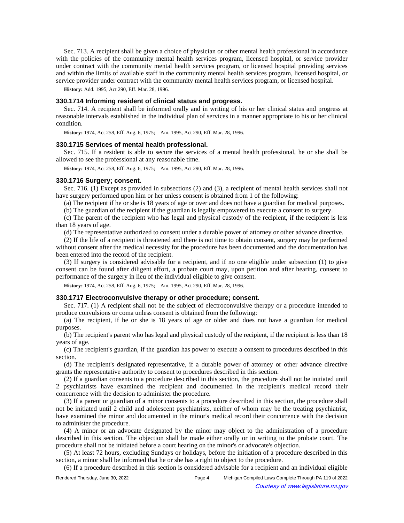Sec. 713. A recipient shall be given a choice of physician or other mental health professional in accordance with the policies of the community mental health services program, licensed hospital, or service provider under contract with the community mental health services program, or licensed hospital providing services and within the limits of available staff in the community mental health services program, licensed hospital, or service provider under contract with the community mental health services program, or licensed hospital.

**History:** Add. 1995, Act 290, Eff. Mar. 28, 1996.

# **330.1714 Informing resident of clinical status and progress.**

Sec. 714. A recipient shall be informed orally and in writing of his or her clinical status and progress at reasonable intervals established in the individual plan of services in a manner appropriate to his or her clinical condition.

History: 1974, Act 258, Eff. Aug. 6, 1975;-- Am. 1995, Act 290, Eff. Mar. 28, 1996.

## **330.1715 Services of mental health professional.**

Sec. 715. If a resident is able to secure the services of a mental health professional, he or she shall be allowed to see the professional at any reasonable time.

History: 1974, Act 258, Eff. Aug. 6, 1975;-- Am. 1995, Act 290, Eff. Mar. 28, 1996.

### **330.1716 Surgery; consent.**

Sec. 716. (1) Except as provided in subsections (2) and (3), a recipient of mental health services shall not have surgery performed upon him or her unless consent is obtained from 1 of the following:

(a) The recipient if he or she is 18 years of age or over and does not have a guardian for medical purposes.

(b) The guardian of the recipient if the guardian is legally empowered to execute a consent to surgery.

(c) The parent of the recipient who has legal and physical custody of the recipient, if the recipient is less than 18 years of age.

(d) The representative authorized to consent under a durable power of attorney or other advance directive.

(2) If the life of a recipient is threatened and there is not time to obtain consent, surgery may be performed without consent after the medical necessity for the procedure has been documented and the documentation has been entered into the record of the recipient.

(3) If surgery is considered advisable for a recipient, and if no one eligible under subsection (1) to give consent can be found after diligent effort, a probate court may, upon petition and after hearing, consent to performance of the surgery in lieu of the individual eligible to give consent.

History: 1974, Act 258, Eff. Aug. 6, 1975;-- Am. 1995, Act 290, Eff. Mar. 28, 1996.

### **330.1717 Electroconvulsive therapy or other procedure; consent.**

Sec. 717. (1) A recipient shall not be the subject of electroconvulsive therapy or a procedure intended to produce convulsions or coma unless consent is obtained from the following:

(a) The recipient, if he or she is 18 years of age or older and does not have a guardian for medical purposes.

(b) The recipient's parent who has legal and physical custody of the recipient, if the recipient is less than 18 years of age.

(c) The recipient's guardian, if the guardian has power to execute a consent to procedures described in this section.

(d) The recipient's designated representative, if a durable power of attorney or other advance directive grants the representative authority to consent to procedures described in this section.

(2) If a guardian consents to a procedure described in this section, the procedure shall not be initiated until 2 psychiatrists have examined the recipient and documented in the recipient's medical record their concurrence with the decision to administer the procedure.

(3) If a parent or guardian of a minor consents to a procedure described in this section, the procedure shall not be initiated until 2 child and adolescent psychiatrists, neither of whom may be the treating psychiatrist, have examined the minor and documented in the minor's medical record their concurrence with the decision to administer the procedure.

(4) A minor or an advocate designated by the minor may object to the administration of a procedure described in this section. The objection shall be made either orally or in writing to the probate court. The procedure shall not be initiated before a court hearing on the minor's or advocate's objection.

(5) At least 72 hours, excluding Sundays or holidays, before the initiation of a procedure described in this section, a minor shall be informed that he or she has a right to object to the procedure.

(6) If a procedure described in this section is considered advisable for a recipient and an individual eligible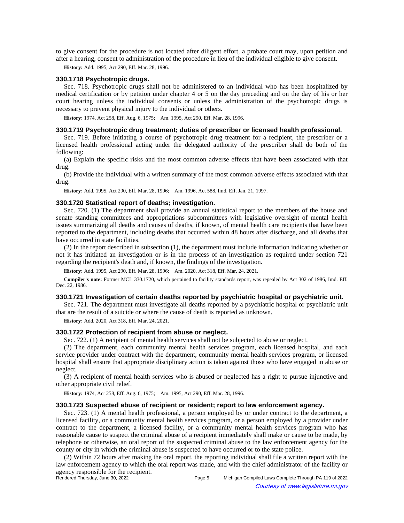to give consent for the procedure is not located after diligent effort, a probate court may, upon petition and after a hearing, consent to administration of the procedure in lieu of the individual eligible to give consent.

**History:** Add. 1995, Act 290, Eff. Mar. 28, 1996.

#### **330.1718 Psychotropic drugs.**

Sec. 718. Psychotropic drugs shall not be administered to an individual who has been hospitalized by medical certification or by petition under chapter 4 or 5 on the day preceding and on the day of his or her court hearing unless the individual consents or unless the administration of the psychotropic drugs is necessary to prevent physical injury to the individual or others.

History: 1974, Act 258, Eff. Aug. 6, 1975;-- Am. 1995, Act 290, Eff. Mar. 28, 1996.

## **330.1719 Psychotropic drug treatment; duties of prescriber or licensed health professional.**

Sec. 719. Before initiating a course of psychotropic drug treatment for a recipient, the prescriber or a licensed health professional acting under the delegated authority of the prescriber shall do both of the following:

(a) Explain the specific risks and the most common adverse effects that have been associated with that drug.

(b) Provide the individual with a written summary of the most common adverse effects associated with that drug.

History: Add. 1995, Act 290, Eff. Mar. 28, 1996;**--**Am. 1996, Act 588, Imd. Eff. Jan. 21, 1997.

# **330.1720 Statistical report of deaths; investigation.**

Sec. 720. (1) The department shall provide an annual statistical report to the members of the house and senate standing committees and appropriations subcommittees with legislative oversight of mental health issues summarizing all deaths and causes of deaths, if known, of mental health care recipients that have been reported to the department, including deaths that occurred within 48 hours after discharge, and all deaths that have occurred in state facilities.

(2) In the report described in subsection (1), the department must include information indicating whether or not it has initiated an investigation or is in the process of an investigation as required under section 721 regarding the recipient's death and, if known, the findings of the investigation.

History: Add. 1995, Act 290, Eff. Mar. 28, 1996;-- Am. 2020, Act 318, Eff. Mar. 24, 2021.

**Compiler's note:** Former MCL 330.1720, which pertained to facility standards report, was repealed by Act 302 of 1986, Imd. Eff. Dec. 22, 1986.

### **330.1721 Investigation of certain deaths reported by psychiatric hospital or psychiatric unit.**

Sec. 721. The department must investigate all deaths reported by a psychiatric hospital or psychiatric unit that are the result of a suicide or where the cause of death is reported as unknown.

**History:** Add. 2020, Act 318, Eff. Mar. 24, 2021.

#### **330.1722 Protection of recipient from abuse or neglect.**

Sec. 722. (1) A recipient of mental health services shall not be subjected to abuse or neglect.

(2) The department, each community mental health services program, each licensed hospital, and each service provider under contract with the department, community mental health services program, or licensed hospital shall ensure that appropriate disciplinary action is taken against those who have engaged in abuse or neglect.

(3) A recipient of mental health services who is abused or neglected has a right to pursue injunctive and other appropriate civil relief.

History: 1974, Act 258, Eff. Aug. 6, 1975;-- Am. 1995, Act 290, Eff. Mar. 28, 1996.

### **330.1723 Suspected abuse of recipient or resident; report to law enforcement agency.**

Sec. 723. (1) A mental health professional, a person employed by or under contract to the department, a licensed facility, or a community mental health services program, or a person employed by a provider under contract to the department, a licensed facility, or a community mental health services program who has reasonable cause to suspect the criminal abuse of a recipient immediately shall make or cause to be made, by telephone or otherwise, an oral report of the suspected criminal abuse to the law enforcement agency for the county or city in which the criminal abuse is suspected to have occurred or to the state police.

(2) Within 72 hours after making the oral report, the reporting individual shall file a written report with the law enforcement agency to which the oral report was made, and with the chief administrator of the facility or agency responsible for the recipient.<br>Rendered Thursday, June 30, 2022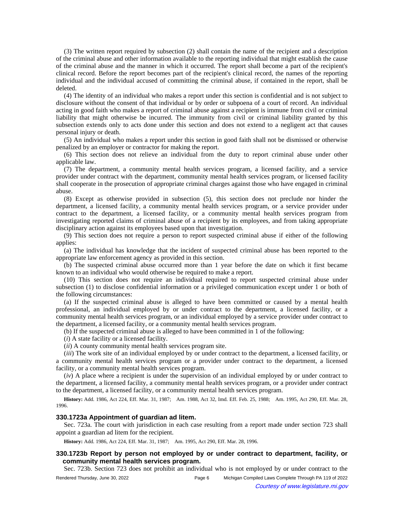(3) The written report required by subsection (2) shall contain the name of the recipient and a description of the criminal abuse and other information available to the reporting individual that might establish the cause of the criminal abuse and the manner in which it occurred. The report shall become a part of the recipient's clinical record. Before the report becomes part of the recipient's clinical record, the names of the reporting individual and the individual accused of committing the criminal abuse, if contained in the report, shall be deleted.

(4) The identity of an individual who makes a report under this section is confidential and is not subject to disclosure without the consent of that individual or by order or subpoena of a court of record. An individual acting in good faith who makes a report of criminal abuse against a recipient is immune from civil or criminal liability that might otherwise be incurred. The immunity from civil or criminal liability granted by this subsection extends only to acts done under this section and does not extend to a negligent act that causes personal injury or death.

(5) An individual who makes a report under this section in good faith shall not be dismissed or otherwise penalized by an employer or contractor for making the report.

(6) This section does not relieve an individual from the duty to report criminal abuse under other applicable law.

(7) The department, a community mental health services program, a licensed facility, and a service provider under contract with the department, community mental health services program, or licensed facility shall cooperate in the prosecution of appropriate criminal charges against those who have engaged in criminal abuse.

(8) Except as otherwise provided in subsection (5), this section does not preclude nor hinder the department, a licensed facility, a community mental health services program, or a service provider under contract to the department, a licensed facility, or a community mental health services program from investigating reported claims of criminal abuse of a recipient by its employees, and from taking appropriate disciplinary action against its employees based upon that investigation.

(9) This section does not require a person to report suspected criminal abuse if either of the following applies:

(a) The individual has knowledge that the incident of suspected criminal abuse has been reported to the appropriate law enforcement agency as provided in this section.

(b) The suspected criminal abuse occurred more than 1 year before the date on which it first became known to an individual who would otherwise be required to make a report.

(10) This section does not require an individual required to report suspected criminal abuse under subsection (1) to disclose confidential information or a privileged communication except under 1 or both of the following circumstances:

(a) If the suspected criminal abuse is alleged to have been committed or caused by a mental health professional, an individual employed by or under contract to the department, a licensed facility, or a community mental health services program, or an individual employed by a service provider under contract to the department, a licensed facility, or a community mental health services program.

(b) If the suspected criminal abuse is alleged to have been committed in 1 of the following:

(*i*) A state facility or a licensed facility.

(*ii*) A county community mental health services program site.

(*iii*) The work site of an individual employed by or under contract to the department, a licensed facility, or a community mental health services program or a provider under contract to the department, a licensed facility, or a community mental health services program.

(*iv*) A place where a recipient is under the supervision of an individual employed by or under contract to the department, a licensed facility, a community mental health services program, or a provider under contract to the department, a licensed facility, or a community mental health services program.

History: Add. 1986, Act 224, Eff. Mar. 31, 1987;--Am. 1988, Act 32, Imd. Eff. Feb. 25, 1988;--Am. 1995, Act 290, Eff. Mar. 28, 1996.

# **330.1723a Appointment of guardian ad litem.**

Sec. 723a. The court with jurisdiction in each case resulting from a report made under section 723 shall appoint a guardian ad litem for the recipient.

History: Add. 1986, Act 224, Eff. Mar. 31, 1987;-- Am. 1995, Act 290, Eff. Mar. 28, 1996.

# **330.1723b Report by person not employed by or under contract to department, facility, or community mental health services program.**

Sec. 723b. Section 723 does not prohibit an individual who is not employed by or under contract to the

Rendered Thursday, June 30, 2022 Page 6 Michigan Compiled Laws Complete Through PA 119 of 2022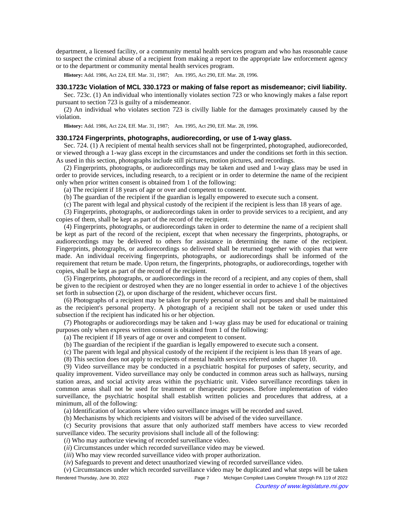department, a licensed facility, or a community mental health services program and who has reasonable cause to suspect the criminal abuse of a recipient from making a report to the appropriate law enforcement agency or to the department or community mental health services program.

History: Add. 1986, Act 224, Eff. Mar. 31, 1987;-- Am. 1995, Act 290, Eff. Mar. 28, 1996.

## **330.1723c Violation of MCL 330.1723 or making of false report as misdemeanor; civil liability.**

Sec. 723c. (1) An individual who intentionally violates section 723 or who knowingly makes a false report pursuant to section 723 is guilty of a misdemeanor.

(2) An individual who violates section 723 is civilly liable for the damages proximately caused by the violation.

History: Add. 1986, Act 224, Eff. Mar. 31, 1987;-- Am. 1995, Act 290, Eff. Mar. 28, 1996.

## **330.1724 Fingerprints, photographs, audiorecording, or use of 1-way glass.**

Sec. 724. (1) A recipient of mental health services shall not be fingerprinted, photographed, audiorecorded, or viewed through a 1-way glass except in the circumstances and under the conditions set forth in this section. As used in this section, photographs include still pictures, motion pictures, and recordings.

(2) Fingerprints, photographs, or audiorecordings may be taken and used and 1-way glass may be used in order to provide services, including research, to a recipient or in order to determine the name of the recipient only when prior written consent is obtained from 1 of the following:

(a) The recipient if 18 years of age or over and competent to consent.

(b) The guardian of the recipient if the guardian is legally empowered to execute such a consent.

(c) The parent with legal and physical custody of the recipient if the recipient is less than 18 years of age.

(3) Fingerprints, photographs, or audiorecordings taken in order to provide services to a recipient, and any copies of them, shall be kept as part of the record of the recipient.

(4) Fingerprints, photographs, or audiorecordings taken in order to determine the name of a recipient shall be kept as part of the record of the recipient, except that when necessary the fingerprints, photographs, or audiorecordings may be delivered to others for assistance in determining the name of the recipient. Fingerprints, photographs, or audiorecordings so delivered shall be returned together with copies that were made. An individual receiving fingerprints, photographs, or audiorecordings shall be informed of the requirement that return be made. Upon return, the fingerprints, photographs, or audiorecordings, together with copies, shall be kept as part of the record of the recipient.

(5) Fingerprints, photographs, or audiorecordings in the record of a recipient, and any copies of them, shall be given to the recipient or destroyed when they are no longer essential in order to achieve 1 of the objectives set forth in subsection (2), or upon discharge of the resident, whichever occurs first.

(6) Photographs of a recipient may be taken for purely personal or social purposes and shall be maintained as the recipient's personal property. A photograph of a recipient shall not be taken or used under this subsection if the recipient has indicated his or her objection.

(7) Photographs or audiorecordings may be taken and 1-way glass may be used for educational or training purposes only when express written consent is obtained from 1 of the following:

(a) The recipient if 18 years of age or over and competent to consent.

(b) The guardian of the recipient if the guardian is legally empowered to execute such a consent.

(c) The parent with legal and physical custody of the recipient if the recipient is less than 18 years of age.

(8) This section does not apply to recipients of mental health services referred under chapter 10.

(9) Video surveillance may be conducted in a psychiatric hospital for purposes of safety, security, and quality improvement. Video surveillance may only be conducted in common areas such as hallways, nursing station areas, and social activity areas within the psychiatric unit. Video surveillance recordings taken in common areas shall not be used for treatment or therapeutic purposes. Before implementation of video surveillance, the psychiatric hospital shall establish written policies and procedures that address, at a minimum, all of the following:

(a) Identification of locations where video surveillance images will be recorded and saved.

(b) Mechanisms by which recipients and visitors will be advised of the video surveillance.

(c) Security provisions that assure that only authorized staff members have access to view recorded surveillance video. The security provisions shall include all of the following:

(*i*) Who may authorize viewing of recorded surveillance video.

(*ii*) Circumstances under which recorded surveillance video may be viewed.

(*iii*) Who may view recorded surveillance video with proper authorization.

(*iv*) Safeguards to prevent and detect unauthorized viewing of recorded surveillance video.

(*v*) Circumstances under which recorded surveillance video may be duplicated and what steps will be taken Rendered Thursday, June 30, 2022 Page 7 Michigan Compiled Laws Complete Through PA 119 of 2022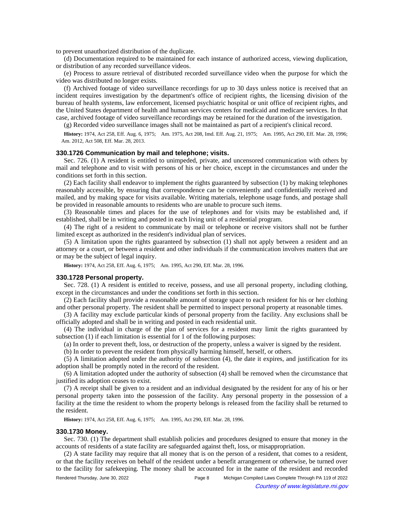to prevent unauthorized distribution of the duplicate.

(d) Documentation required to be maintained for each instance of authorized access, viewing duplication, or distribution of any recorded surveillance videos.

(e) Process to assure retrieval of distributed recorded surveillance video when the purpose for which the video was distributed no longer exists.

(f) Archived footage of video surveillance recordings for up to 30 days unless notice is received that an incident requires investigation by the department's office of recipient rights, the licensing division of the bureau of health systems, law enforcement, licensed psychiatric hospital or unit office of recipient rights, and the United States department of health and human services centers for medicaid and medicare services. In that case, archived footage of video surveillance recordings may be retained for the duration of the investigation.

(g) Recorded video surveillance images shall not be maintained as part of a recipient's clinical record.

History: 1974, Act 258, Eff. Aug. 6, 1975;-- Am. 1975, Act 208, Imd. Eff. Aug. 21, 1975;-- Am. 1995, Act 290, Eff. Mar. 28, 1996; Am. 2012, Act 508, Eff. Mar. 28, 2013.

### **330.1726 Communication by mail and telephone; visits.**

Sec. 726. (1) A resident is entitled to unimpeded, private, and uncensored communication with others by mail and telephone and to visit with persons of his or her choice, except in the circumstances and under the conditions set forth in this section.

(2) Each facility shall endeavor to implement the rights guaranteed by subsection (1) by making telephones reasonably accessible, by ensuring that correspondence can be conveniently and confidentially received and mailed, and by making space for visits available. Writing materials, telephone usage funds, and postage shall be provided in reasonable amounts to residents who are unable to procure such items.

(3) Reasonable times and places for the use of telephones and for visits may be established and, if established, shall be in writing and posted in each living unit of a residential program.

(4) The right of a resident to communicate by mail or telephone or receive visitors shall not be further limited except as authorized in the resident's individual plan of services.

(5) A limitation upon the rights guaranteed by subsection (1) shall not apply between a resident and an attorney or a court, or between a resident and other individuals if the communication involves matters that are or may be the subject of legal inquiry.

History: 1974, Act 258, Eff. Aug. 6, 1975;-- Am. 1995, Act 290, Eff. Mar. 28, 1996.

#### **330.1728 Personal property.**

Sec. 728. (1) A resident is entitled to receive, possess, and use all personal property, including clothing, except in the circumstances and under the conditions set forth in this section.

(2) Each facility shall provide a reasonable amount of storage space to each resident for his or her clothing and other personal property. The resident shall be permitted to inspect personal property at reasonable times.

(3) A facility may exclude particular kinds of personal property from the facility. Any exclusions shall be officially adopted and shall be in writing and posted in each residential unit.

(4) The individual in charge of the plan of services for a resident may limit the rights guaranteed by subsection (1) if each limitation is essential for 1 of the following purposes:

(a) In order to prevent theft, loss, or destruction of the property, unless a waiver is signed by the resident.

(b) In order to prevent the resident from physically harming himself, herself, or others.

(5) A limitation adopted under the authority of subsection (4), the date it expires, and justification for its adoption shall be promptly noted in the record of the resident.

(6) A limitation adopted under the authority of subsection (4) shall be removed when the circumstance that justified its adoption ceases to exist.

(7) A receipt shall be given to a resident and an individual designated by the resident for any of his or her personal property taken into the possession of the facility. Any personal property in the possession of a facility at the time the resident to whom the property belongs is released from the facility shall be returned to the resident.

History: 1974, Act 258, Eff. Aug. 6, 1975;-- Am. 1995, Act 290, Eff. Mar. 28, 1996.

#### **330.1730 Money.**

Sec. 730. (1) The department shall establish policies and procedures designed to ensure that money in the accounts of residents of a state facility are safeguarded against theft, loss, or misappropriation.

(2) A state facility may require that all money that is on the person of a resident, that comes to a resident, or that the facility receives on behalf of the resident under a benefit arrangement or otherwise, be turned over to the facility for safekeeping. The money shall be accounted for in the name of the resident and recorded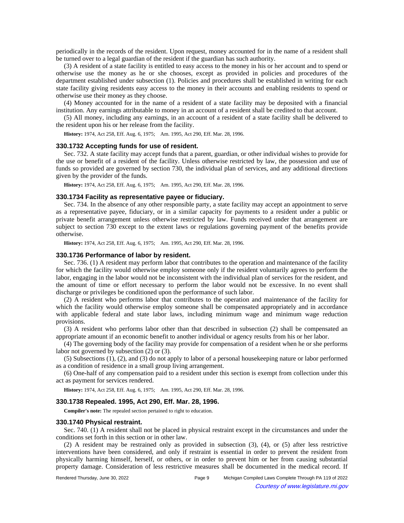periodically in the records of the resident. Upon request, money accounted for in the name of a resident shall be turned over to a legal guardian of the resident if the guardian has such authority.

(3) A resident of a state facility is entitled to easy access to the money in his or her account and to spend or otherwise use the money as he or she chooses, except as provided in policies and procedures of the department established under subsection (1). Policies and procedures shall be established in writing for each state facility giving residents easy access to the money in their accounts and enabling residents to spend or otherwise use their money as they choose.

(4) Money accounted for in the name of a resident of a state facility may be deposited with a financial institution. Any earnings attributable to money in an account of a resident shall be credited to that account.

(5) All money, including any earnings, in an account of a resident of a state facility shall be delivered to the resident upon his or her release from the facility.

**History:** 1974, Act 258, Eff. Aug. 6, 1975;-- Am. 1995, Act 290, Eff. Mar. 28, 1996.

#### **330.1732 Accepting funds for use of resident.**

Sec. 732. A state facility may accept funds that a parent, guardian, or other individual wishes to provide for the use or benefit of a resident of the facility. Unless otherwise restricted by law, the possession and use of funds so provided are governed by section 730, the individual plan of services, and any additional directions given by the provider of the funds.

History: 1974, Act 258, Eff. Aug. 6, 1975;-- Am. 1995, Act 290, Eff. Mar. 28, 1996.

### **330.1734 Facility as representative payee or fiduciary.**

Sec. 734. In the absence of any other responsible party, a state facility may accept an appointment to serve as a representative payee, fiduciary, or in a similar capacity for payments to a resident under a public or private benefit arrangement unless otherwise restricted by law. Funds received under that arrangement are subject to section 730 except to the extent laws or regulations governing payment of the benefits provide otherwise.

History: 1974, Act 258, Eff. Aug. 6, 1975;-- Am. 1995, Act 290, Eff. Mar. 28, 1996.

## **330.1736 Performance of labor by resident.**

Sec. 736. (1) A resident may perform labor that contributes to the operation and maintenance of the facility for which the facility would otherwise employ someone only if the resident voluntarily agrees to perform the labor, engaging in the labor would not be inconsistent with the individual plan of services for the resident, and the amount of time or effort necessary to perform the labor would not be excessive. In no event shall discharge or privileges be conditioned upon the performance of such labor.

(2) A resident who performs labor that contributes to the operation and maintenance of the facility for which the facility would otherwise employ someone shall be compensated appropriately and in accordance with applicable federal and state labor laws, including minimum wage and minimum wage reduction provisions.

(3) A resident who performs labor other than that described in subsection (2) shall be compensated an appropriate amount if an economic benefit to another individual or agency results from his or her labor.

(4) The governing body of the facility may provide for compensation of a resident when he or she performs labor not governed by subsection (2) or (3).

(5) Subsections (1), (2), and (3) do not apply to labor of a personal housekeeping nature or labor performed as a condition of residence in a small group living arrangement.

(6) One-half of any compensation paid to a resident under this section is exempt from collection under this act as payment for services rendered.

History: 1974, Act 258, Eff. Aug. 6, 1975;-- Am. 1995, Act 290, Eff. Mar. 28, 1996.

#### **330.1738 Repealed. 1995, Act 290, Eff. Mar. 28, 1996.**

**Compiler's note:** The repealed section pertained to right to education.

# **330.1740 Physical restraint.**

Sec. 740. (1) A resident shall not be placed in physical restraint except in the circumstances and under the conditions set forth in this section or in other law.

(2) A resident may be restrained only as provided in subsection (3), (4), or (5) after less restrictive interventions have been considered, and only if restraint is essential in order to prevent the resident from physically harming himself, herself, or others, or in order to prevent him or her from causing substantial property damage. Consideration of less restrictive measures shall be documented in the medical record. If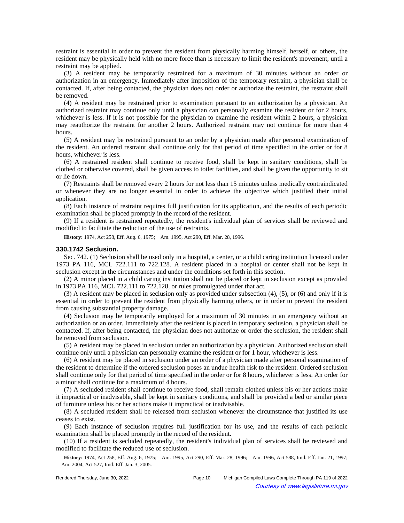restraint is essential in order to prevent the resident from physically harming himself, herself, or others, the resident may be physically held with no more force than is necessary to limit the resident's movement, until a restraint may be applied.

(3) A resident may be temporarily restrained for a maximum of 30 minutes without an order or authorization in an emergency. Immediately after imposition of the temporary restraint, a physician shall be contacted. If, after being contacted, the physician does not order or authorize the restraint, the restraint shall be removed.

(4) A resident may be restrained prior to examination pursuant to an authorization by a physician. An authorized restraint may continue only until a physician can personally examine the resident or for 2 hours, whichever is less. If it is not possible for the physician to examine the resident within 2 hours, a physician may reauthorize the restraint for another 2 hours. Authorized restraint may not continue for more than 4 hours.

(5) A resident may be restrained pursuant to an order by a physician made after personal examination of the resident. An ordered restraint shall continue only for that period of time specified in the order or for 8 hours, whichever is less.

(6) A restrained resident shall continue to receive food, shall be kept in sanitary conditions, shall be clothed or otherwise covered, shall be given access to toilet facilities, and shall be given the opportunity to sit or lie down.

(7) Restraints shall be removed every 2 hours for not less than 15 minutes unless medically contraindicated or whenever they are no longer essential in order to achieve the objective which justified their initial application.

(8) Each instance of restraint requires full justification for its application, and the results of each periodic examination shall be placed promptly in the record of the resident.

(9) If a resident is restrained repeatedly, the resident's individual plan of services shall be reviewed and modified to facilitate the reduction of the use of restraints.

History: 1974, Act 258, Eff. Aug. 6, 1975;-Am. 1995, Act 290, Eff. Mar. 28, 1996.

# **330.1742 Seclusion.**

Sec. 742. (1) Seclusion shall be used only in a hospital, a center, or a child caring institution licensed under 1973 PA 116, MCL 722.111 to 722.128. A resident placed in a hospital or center shall not be kept in seclusion except in the circumstances and under the conditions set forth in this section.

(2) A minor placed in a child caring institution shall not be placed or kept in seclusion except as provided in 1973 PA 116, MCL 722.111 to 722.128, or rules promulgated under that act.

(3) A resident may be placed in seclusion only as provided under subsection (4), (5), or (6) and only if it is essential in order to prevent the resident from physically harming others, or in order to prevent the resident from causing substantial property damage.

(4) Seclusion may be temporarily employed for a maximum of 30 minutes in an emergency without an authorization or an order. Immediately after the resident is placed in temporary seclusion, a physician shall be contacted. If, after being contacted, the physician does not authorize or order the seclusion, the resident shall be removed from seclusion.

(5) A resident may be placed in seclusion under an authorization by a physician. Authorized seclusion shall continue only until a physician can personally examine the resident or for 1 hour, whichever is less.

(6) A resident may be placed in seclusion under an order of a physician made after personal examination of the resident to determine if the ordered seclusion poses an undue health risk to the resident. Ordered seclusion shall continue only for that period of time specified in the order or for 8 hours, whichever is less. An order for a minor shall continue for a maximum of 4 hours.

(7) A secluded resident shall continue to receive food, shall remain clothed unless his or her actions make it impractical or inadvisable, shall be kept in sanitary conditions, and shall be provided a bed or similar piece of furniture unless his or her actions make it impractical or inadvisable.

(8) A secluded resident shall be released from seclusion whenever the circumstance that justified its use ceases to exist.

(9) Each instance of seclusion requires full justification for its use, and the results of each periodic examination shall be placed promptly in the record of the resident.

(10) If a resident is secluded repeatedly, the resident's individual plan of services shall be reviewed and modified to facilitate the reduced use of seclusion.

History: 1974, Act 258, Eff. Aug. 6, 1975;--Am. 1995, Act 290, Eff. Mar. 28, 1996;--Am. 1996, Act 588, Imd. Eff. Jan. 21, 1997; Am. 2004, Act 527, Imd. Eff. Jan. 3, 2005.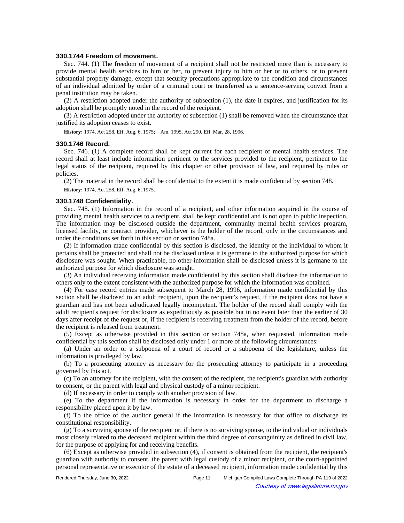### **330.1744 Freedom of movement.**

Sec. 744. (1) The freedom of movement of a recipient shall not be restricted more than is necessary to provide mental health services to him or her, to prevent injury to him or her or to others, or to prevent substantial property damage, except that security precautions appropriate to the condition and circumstances of an individual admitted by order of a criminal court or transferred as a sentence-serving convict from a penal institution may be taken.

(2) A restriction adopted under the authority of subsection (1), the date it expires, and justification for its adoption shall be promptly noted in the record of the recipient.

(3) A restriction adopted under the authority of subsection (1) shall be removed when the circumstance that justified its adoption ceases to exist.

History: 1974, Act 258, Eff. Aug. 6, 1975;-- Am. 1995, Act 290, Eff. Mar. 28, 1996.

#### **330.1746 Record.**

Sec. 746. (1) A complete record shall be kept current for each recipient of mental health services. The record shall at least include information pertinent to the services provided to the recipient, pertinent to the legal status of the recipient, required by this chapter or other provision of law, and required by rules or policies.

(2) The material in the record shall be confidential to the extent it is made confidential by section 748. **History:** 1974, Act 258, Eff. Aug. 6, 1975.

#### **330.1748 Confidentiality.**

Sec. 748. (1) Information in the record of a recipient, and other information acquired in the course of providing mental health services to a recipient, shall be kept confidential and is not open to public inspection. The information may be disclosed outside the department, community mental health services program, licensed facility, or contract provider, whichever is the holder of the record, only in the circumstances and under the conditions set forth in this section or section 748a.

(2) If information made confidential by this section is disclosed, the identity of the individual to whom it pertains shall be protected and shall not be disclosed unless it is germane to the authorized purpose for which disclosure was sought. When practicable, no other information shall be disclosed unless it is germane to the authorized purpose for which disclosure was sought.

(3) An individual receiving information made confidential by this section shall disclose the information to others only to the extent consistent with the authorized purpose for which the information was obtained.

(4) For case record entries made subsequent to March 28, 1996, information made confidential by this section shall be disclosed to an adult recipient, upon the recipient's request, if the recipient does not have a guardian and has not been adjudicated legally incompetent. The holder of the record shall comply with the adult recipient's request for disclosure as expeditiously as possible but in no event later than the earlier of 30 days after receipt of the request or, if the recipient is receiving treatment from the holder of the record, before the recipient is released from treatment.

(5) Except as otherwise provided in this section or section 748a, when requested, information made confidential by this section shall be disclosed only under 1 or more of the following circumstances:

(a) Under an order or a subpoena of a court of record or a subpoena of the legislature, unless the information is privileged by law.

(b) To a prosecuting attorney as necessary for the prosecuting attorney to participate in a proceeding governed by this act.

(c) To an attorney for the recipient, with the consent of the recipient, the recipient's guardian with authority to consent, or the parent with legal and physical custody of a minor recipient.

(d) If necessary in order to comply with another provision of law.

(e) To the department if the information is necessary in order for the department to discharge a responsibility placed upon it by law.

(f) To the office of the auditor general if the information is necessary for that office to discharge its constitutional responsibility.

(g) To a surviving spouse of the recipient or, if there is no surviving spouse, to the individual or individuals most closely related to the deceased recipient within the third degree of consanguinity as defined in civil law, for the purpose of applying for and receiving benefits.

(6) Except as otherwise provided in subsection (4), if consent is obtained from the recipient, the recipient's guardian with authority to consent, the parent with legal custody of a minor recipient, or the court-appointed personal representative or executor of the estate of a deceased recipient, information made confidential by this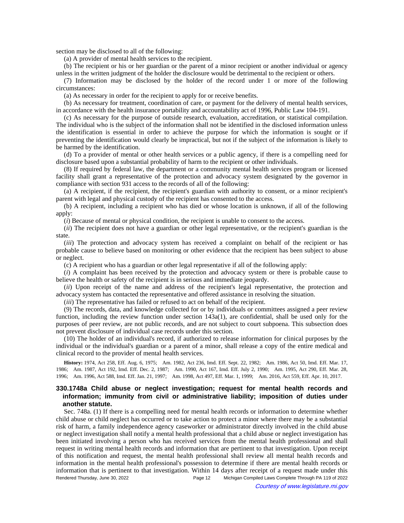section may be disclosed to all of the following:

(a) A provider of mental health services to the recipient.

(b) The recipient or his or her guardian or the parent of a minor recipient or another individual or agency unless in the written judgment of the holder the disclosure would be detrimental to the recipient or others.

(7) Information may be disclosed by the holder of the record under 1 or more of the following circumstances:

(a) As necessary in order for the recipient to apply for or receive benefits.

(b) As necessary for treatment, coordination of care, or payment for the delivery of mental health services, in accordance with the health insurance portability and accountability act of 1996, Public Law 104-191.

(c) As necessary for the purpose of outside research, evaluation, accreditation, or statistical compilation. The individual who is the subject of the information shall not be identified in the disclosed information unless the identification is essential in order to achieve the purpose for which the information is sought or if preventing the identification would clearly be impractical, but not if the subject of the information is likely to be harmed by the identification.

(d) To a provider of mental or other health services or a public agency, if there is a compelling need for disclosure based upon a substantial probability of harm to the recipient or other individuals.

(8) If required by federal law, the department or a community mental health services program or licensed facility shall grant a representative of the protection and advocacy system designated by the governor in compliance with section 931 access to the records of all of the following:

(a) A recipient, if the recipient, the recipient's guardian with authority to consent, or a minor recipient's parent with legal and physical custody of the recipient has consented to the access.

(b) A recipient, including a recipient who has died or whose location is unknown, if all of the following apply:

(*i*) Because of mental or physical condition, the recipient is unable to consent to the access.

(*ii*) The recipient does not have a guardian or other legal representative, or the recipient's guardian is the state.

(*iii*) The protection and advocacy system has received a complaint on behalf of the recipient or has probable cause to believe based on monitoring or other evidence that the recipient has been subject to abuse or neglect.

(c) A recipient who has a guardian or other legal representative if all of the following apply:

(*i*) A complaint has been received by the protection and advocacy system or there is probable cause to believe the health or safety of the recipient is in serious and immediate jeopardy.

(*ii*) Upon receipt of the name and address of the recipient's legal representative, the protection and advocacy system has contacted the representative and offered assistance in resolving the situation.

(*iii*) The representative has failed or refused to act on behalf of the recipient.

(9) The records, data, and knowledge collected for or by individuals or committees assigned a peer review function, including the review function under section 143a(1), are confidential, shall be used only for the purposes of peer review, are not public records, and are not subject to court subpoena. This subsection does not prevent disclosure of individual case records under this section.

(10) The holder of an individual's record, if authorized to release information for clinical purposes by the individual or the individual's guardian or a parent of a minor, shall release a copy of the entire medical and clinical record to the provider of mental health services.

History: 1974, Act 258, Eff. Aug. 6, 1975;—Am. 1982, Act 236, Imd. Eff. Sept. 22, 1982;—Am. 1986, Act 50, Imd. Eff. Mar. 17, 1986;-Am. 1987, Act 192, Imd. Eff. Dec. 2, 1987;-Am. 1990, Act 167, Imd. Eff. July 2, 1990;-Am. 1995, Act 290, Eff. Mar. 28, 1996;—Am. 1996, Act 588, Imd. Eff. Jan. 21, 1997;—Am. 1998, Act 497, Eff. Mar. 1, 1999;—Am. 2016, Act 559, Eff. Apr. 10, 2017.

# **330.1748a Child abuse or neglect investigation; request for mental health records and information; immunity from civil or administrative liability; imposition of duties under another statute.**

Sec. 748a. (1) If there is a compelling need for mental health records or information to determine whether child abuse or child neglect has occurred or to take action to protect a minor where there may be a substantial risk of harm, a family independence agency caseworker or administrator directly involved in the child abuse or neglect investigation shall notify a mental health professional that a child abuse or neglect investigation has been initiated involving a person who has received services from the mental health professional and shall request in writing mental health records and information that are pertinent to that investigation. Upon receipt of this notification and request, the mental health professional shall review all mental health records and information in the mental health professional's possession to determine if there are mental health records or information that is pertinent to that investigation. Within 14 days after receipt of a request made under this Rendered Thursday, June 30, 2022 Page 12 Michigan Compiled Laws Complete Through PA 119 of 2022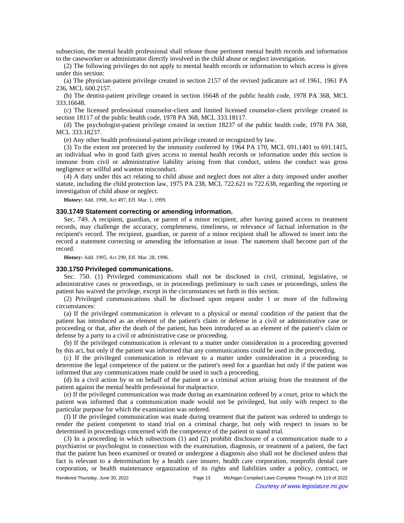subsection, the mental health professional shall release those pertinent mental health records and information to the caseworker or administrator directly involved in the child abuse or neglect investigation.

(2) The following privileges do not apply to mental health records or information to which access is given under this section:

(a) The physician-patient privilege created in section 2157 of the revised judicature act of 1961, 1961 PA 236, MCL 600.2157.

(b) The dentist-patient privilege created in section 16648 of the public health code, 1978 PA 368, MCL 333.16648.

(c) The licensed professional counselor-client and limited licensed counselor-client privilege created in section 18117 of the public health code, 1978 PA 368, MCL 333.18117.

(d) The psychologist-patient privilege created in section 18237 of the public health code, 1978 PA 368, MCL 333.18237.

(e) Any other health professional-patient privilege created or recognized by law.

(3) To the extent not protected by the immunity conferred by 1964 PA 170, MCL 691.1401 to 691.1415, an individual who in good faith gives access to mental health records or information under this section is immune from civil or administrative liability arising from that conduct, unless the conduct was gross negligence or willful and wanton misconduct.

(4) A duty under this act relating to child abuse and neglect does not alter a duty imposed under another statute, including the child protection law, 1975 PA 238, MCL 722.621 to 722.638, regarding the reporting or investigation of child abuse or neglect.

**History:** Add. 1998, Act 497, Eff. Mar. 1, 1999.

### **330.1749 Statement correcting or amending information.**

Sec. 749. A recipient, guardian, or parent of a minor recipient, after having gained access to treatment records, may challenge the accuracy, completeness, timeliness, or relevance of factual information in the recipient's record. The recipient, guardian, or parent of a minor recipient shall be allowed to insert into the record a statement correcting or amending the information at issue. The statement shall become part of the record.

**History:** Add. 1995, Act 290, Eff. Mar. 28, 1996.

## **330.1750 Privileged communications.**

Sec. 750. (1) Privileged communications shall not be disclosed in civil, criminal, legislative, or administrative cases or proceedings, or in proceedings preliminary to such cases or proceedings, unless the patient has waived the privilege, except in the circumstances set forth in this section.

(2) Privileged communications shall be disclosed upon request under 1 or more of the following circumstances:

(a) If the privileged communication is relevant to a physical or mental condition of the patient that the patient has introduced as an element of the patient's claim or defense in a civil or administrative case or proceeding or that, after the death of the patient, has been introduced as an element of the patient's claim or defense by a party to a civil or administrative case or proceeding.

(b) If the privileged communication is relevant to a matter under consideration in a proceeding governed by this act, but only if the patient was informed that any communications could be used in the proceeding.

(c) If the privileged communication is relevant to a matter under consideration in a proceeding to determine the legal competence of the patient or the patient's need for a guardian but only if the patient was informed that any communications made could be used in such a proceeding.

(d) In a civil action by or on behalf of the patient or a criminal action arising from the treatment of the patient against the mental health professional for malpractice.

(e) If the privileged communication was made during an examination ordered by a court, prior to which the patient was informed that a communication made would not be privileged, but only with respect to the particular purpose for which the examination was ordered.

(f) If the privileged communication was made during treatment that the patient was ordered to undergo to render the patient competent to stand trial on a criminal charge, but only with respect to issues to be determined in proceedings concerned with the competence of the patient to stand trial.

(3) In a proceeding in which subsections (1) and (2) prohibit disclosure of a communication made to a psychiatrist or psychologist in connection with the examination, diagnosis, or treatment of a patient, the fact that the patient has been examined or treated or undergone a diagnosis also shall not be disclosed unless that fact is relevant to a determination by a health care insurer, health care corporation, nonprofit dental care corporation, or health maintenance organization of its rights and liabilities under a policy, contract, or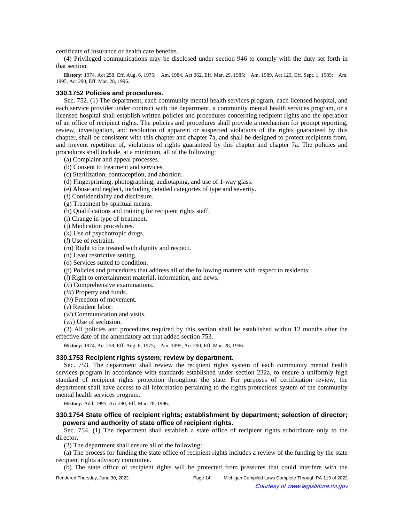certificate of insurance or health care benefits.

(4) Privileged communications may be disclosed under section 946 to comply with the duty set forth in that section.

History: 1974, Act 258, Eff. Aug. 6, 1975;—Am. 1984, Act 362, Eff. Mar. 29, 1985;—Am. 1989, Act 123, Eff. Sept. 1, 1989;—Am. 1995, Act 290, Eff. Mar. 28, 1996.

### **330.1752 Policies and procedures.**

Sec. 752. (1) The department, each community mental health services program, each licensed hospital, and each service provider under contract with the department, a community mental health services program, or a licensed hospital shall establish written policies and procedures concerning recipient rights and the operation of an office of recipient rights. The policies and procedures shall provide a mechanism for prompt reporting, review, investigation, and resolution of apparent or suspected violations of the rights guaranteed by this chapter, shall be consistent with this chapter and chapter 7a, and shall be designed to protect recipients from, and prevent repetition of, violations of rights guaranteed by this chapter and chapter 7a. The policies and procedures shall include, at a minimum, all of the following:

- (a) Complaint and appeal processes.
- (b) Consent to treatment and services.
- (c) Sterilization, contraception, and abortion.
- (d) Fingerprinting, photographing, audiotaping, and use of 1-way glass.
- (e) Abuse and neglect, including detailed categories of type and severity.
- (f) Confidentiality and disclosure.
- (g) Treatment by spiritual means.
- (h) Qualifications and training for recipient rights staff.
- (i) Change in type of treatment.
- (j) Medication procedures.
- (k) Use of psychotropic drugs.
- (*l*) Use of restraint.
- (m) Right to be treated with dignity and respect.
- (n) Least restrictive setting.
- (o) Services suited to condition.
- (p) Policies and procedures that address all of the following matters with respect to residents:
- (*i*) Right to entertainment material, information, and news.
- (*ii*) Comprehensive examinations.
- (*iii*) Property and funds.
- (*iv*) Freedom of movement.
- (*v*) Resident labor.
- (*vi*) Communication and visits.
- (*vii*) Use of seclusion.

(2) All policies and procedures required by this section shall be established within 12 months after the effective date of the amendatory act that added section 753.

History: 1974, Act 258, Eff. Aug. 6, 1975;-Am. 1995, Act 290, Eff. Mar. 28, 1996.

### **330.1753 Recipient rights system; review by department.**

Sec. 753. The department shall review the recipient rights system of each community mental health services program in accordance with standards established under section 232a, to ensure a uniformly high standard of recipient rights protection throughout the state. For purposes of certification review, the department shall have access to all information pertaining to the rights protections system of the community mental health services program.

**History:** Add. 1995, Act 290, Eff. Mar. 28, 1996.

# **330.1754 State office of recipient rights; establishment by department; selection of director; powers and authority of state office of recipient rights.**

Sec. 754. (1) The department shall establish a state office of recipient rights subordinate only to the director.

(2) The department shall ensure all of the following:

(a) The process for funding the state office of recipient rights includes a review of the funding by the state recipient rights advisory committee.

(b) The state office of recipient rights will be protected from pressures that could interfere with the

Rendered Thursday, June 30, 2022 Page 14 Michigan Compiled Laws Complete Through PA 119 of 2022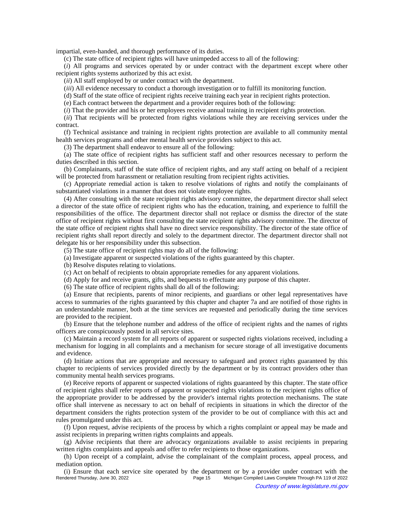impartial, even-handed, and thorough performance of its duties.

(c) The state office of recipient rights will have unimpeded access to all of the following:

(*i*) All programs and services operated by or under contract with the department except where other recipient rights systems authorized by this act exist.

(*ii*) All staff employed by or under contract with the department.

(*iii*) All evidence necessary to conduct a thorough investigation or to fulfill its monitoring function.

(d) Staff of the state office of recipient rights receive training each year in recipient rights protection.

(e) Each contract between the department and a provider requires both of the following:

(*i*) That the provider and his or her employees receive annual training in recipient rights protection.

(*ii*) That recipients will be protected from rights violations while they are receiving services under the contract.

(f) Technical assistance and training in recipient rights protection are available to all community mental health services programs and other mental health service providers subject to this act.

(3) The department shall endeavor to ensure all of the following:

(a) The state office of recipient rights has sufficient staff and other resources necessary to perform the duties described in this section.

(b) Complainants, staff of the state office of recipient rights, and any staff acting on behalf of a recipient will be protected from harassment or retaliation resulting from recipient rights activities.

(c) Appropriate remedial action is taken to resolve violations of rights and notify the complainants of substantiated violations in a manner that does not violate employee rights.

(4) After consulting with the state recipient rights advisory committee, the department director shall select a director of the state office of recipient rights who has the education, training, and experience to fulfill the responsibilities of the office. The department director shall not replace or dismiss the director of the state office of recipient rights without first consulting the state recipient rights advisory committee. The director of the state office of recipient rights shall have no direct service responsibility. The director of the state office of recipient rights shall report directly and solely to the department director. The department director shall not delegate his or her responsibility under this subsection.

(5) The state office of recipient rights may do all of the following:

- (a) Investigate apparent or suspected violations of the rights guaranteed by this chapter.
- (b) Resolve disputes relating to violations.
- (c) Act on behalf of recipients to obtain appropriate remedies for any apparent violations.
- (d) Apply for and receive grants, gifts, and bequests to effectuate any purpose of this chapter.
- (6) The state office of recipient rights shall do all of the following:

(a) Ensure that recipients, parents of minor recipients, and guardians or other legal representatives have access to summaries of the rights guaranteed by this chapter and chapter 7a and are notified of those rights in an understandable manner, both at the time services are requested and periodically during the time services are provided to the recipient.

(b) Ensure that the telephone number and address of the office of recipient rights and the names of rights officers are conspicuously posted in all service sites.

(c) Maintain a record system for all reports of apparent or suspected rights violations received, including a mechanism for logging in all complaints and a mechanism for secure storage of all investigative documents and evidence.

(d) Initiate actions that are appropriate and necessary to safeguard and protect rights guaranteed by this chapter to recipients of services provided directly by the department or by its contract providers other than community mental health services programs.

(e) Receive reports of apparent or suspected violations of rights guaranteed by this chapter. The state office of recipient rights shall refer reports of apparent or suspected rights violations to the recipient rights office of the appropriate provider to be addressed by the provider's internal rights protection mechanisms. The state office shall intervene as necessary to act on behalf of recipients in situations in which the director of the department considers the rights protection system of the provider to be out of compliance with this act and rules promulgated under this act.

(f) Upon request, advise recipients of the process by which a rights complaint or appeal may be made and assist recipients in preparing written rights complaints and appeals.

(g) Advise recipients that there are advocacy organizations available to assist recipients in preparing written rights complaints and appeals and offer to refer recipients to those organizations.

(h) Upon receipt of a complaint, advise the complainant of the complaint process, appeal process, and mediation option.

(i) Ensure that each service site operated by the department or by a provider under contract with the Rendered Thursday, June 30, 2022<br>Page 15 Michigan Compiled Laws Complete Through PA 119 of 2022 Michigan Compiled Laws Complete Through PA 119 of 2022 Courtesy of www.legislature.mi.gov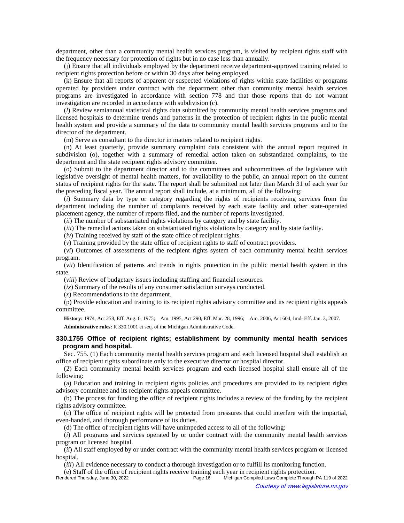department, other than a community mental health services program, is visited by recipient rights staff with the frequency necessary for protection of rights but in no case less than annually.

(j) Ensure that all individuals employed by the department receive department-approved training related to recipient rights protection before or within 30 days after being employed.

(k) Ensure that all reports of apparent or suspected violations of rights within state facilities or programs operated by providers under contract with the department other than community mental health services programs are investigated in accordance with section 778 and that those reports that do not warrant investigation are recorded in accordance with subdivision (c).

(*l*) Review semiannual statistical rights data submitted by community mental health services programs and licensed hospitals to determine trends and patterns in the protection of recipient rights in the public mental health system and provide a summary of the data to community mental health services programs and to the director of the department.

(m) Serve as consultant to the director in matters related to recipient rights.

(n) At least quarterly, provide summary complaint data consistent with the annual report required in subdivision (o), together with a summary of remedial action taken on substantiated complaints, to the department and the state recipient rights advisory committee.

(o) Submit to the department director and to the committees and subcommittees of the legislature with legislative oversight of mental health matters, for availability to the public, an annual report on the current status of recipient rights for the state. The report shall be submitted not later than March 31 of each year for the preceding fiscal year. The annual report shall include, at a minimum, all of the following:

(*i*) Summary data by type or category regarding the rights of recipients receiving services from the department including the number of complaints received by each state facility and other state-operated placement agency, the number of reports filed, and the number of reports investigated.

(*ii*) The number of substantiated rights violations by category and by state facility.

(*iii*) The remedial actions taken on substantiated rights violations by category and by state facility.

(*iv*) Training received by staff of the state office of recipient rights.

(*v*) Training provided by the state office of recipient rights to staff of contract providers.

(*vi*) Outcomes of assessments of the recipient rights system of each community mental health services program.

(*vii*) Identification of patterns and trends in rights protection in the public mental health system in this state.

(*viii*) Review of budgetary issues including staffing and financial resources.

(*ix*) Summary of the results of any consumer satisfaction surveys conducted.

(*x*) Recommendations to the department.

(p) Provide education and training to its recipient rights advisory committee and its recipient rights appeals committee.

History: 1974, Act 258, Eff. Aug. 6, 1975;—Am. 1995, Act 290, Eff. Mar. 28, 1996;—Am. 2006, Act 604, Imd. Eff. Jan. 3, 2007.

**Administrative rules:** R 330.1001 et seq. of the Michigan Administrative Code.

# **330.1755 Office of recipient rights; establishment by community mental health services program and hospital.**

Sec. 755. (1) Each community mental health services program and each licensed hospital shall establish an office of recipient rights subordinate only to the executive director or hospital director.

(2) Each community mental health services program and each licensed hospital shall ensure all of the following:

(a) Education and training in recipient rights policies and procedures are provided to its recipient rights advisory committee and its recipient rights appeals committee.

(b) The process for funding the office of recipient rights includes a review of the funding by the recipient rights advisory committee.

(c) The office of recipient rights will be protected from pressures that could interfere with the impartial, even-handed, and thorough performance of its duties.

(d) The office of recipient rights will have unimpeded access to all of the following:

(*i*) All programs and services operated by or under contract with the community mental health services program or licensed hospital.

(*ii*) All staff employed by or under contract with the community mental health services program or licensed hospital.

(*iii*) All evidence necessary to conduct a thorough investigation or to fulfill its monitoring function.

(e) Staff of the office of recipient rights receive training each year in recipient rights protection.

Michigan Compiled Laws Complete Through PA 119 of 2022 Courtesy of www.legislature.mi.gov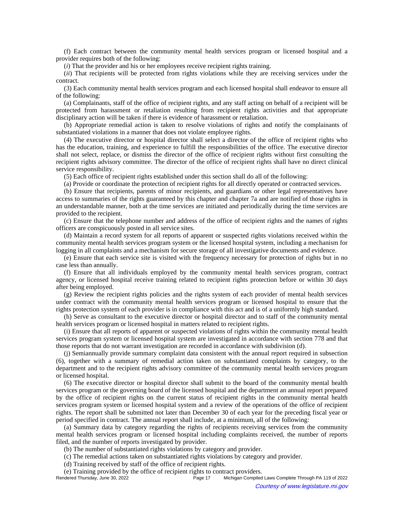(f) Each contract between the community mental health services program or licensed hospital and a provider requires both of the following:

(*i*) That the provider and his or her employees receive recipient rights training.

(*ii*) That recipients will be protected from rights violations while they are receiving services under the contract.

(3) Each community mental health services program and each licensed hospital shall endeavor to ensure all of the following:

(a) Complainants, staff of the office of recipient rights, and any staff acting on behalf of a recipient will be protected from harassment or retaliation resulting from recipient rights activities and that appropriate disciplinary action will be taken if there is evidence of harassment or retaliation.

(b) Appropriate remedial action is taken to resolve violations of rights and notify the complainants of substantiated violations in a manner that does not violate employee rights.

(4) The executive director or hospital director shall select a director of the office of recipient rights who has the education, training, and experience to fulfill the responsibilities of the office. The executive director shall not select, replace, or dismiss the director of the office of recipient rights without first consulting the recipient rights advisory committee. The director of the office of recipient rights shall have no direct clinical service responsibility.

(5) Each office of recipient rights established under this section shall do all of the following:

(a) Provide or coordinate the protection of recipient rights for all directly operated or contracted services.

(b) Ensure that recipients, parents of minor recipients, and guardians or other legal representatives have access to summaries of the rights guaranteed by this chapter and chapter 7a and are notified of those rights in an understandable manner, both at the time services are initiated and periodically during the time services are provided to the recipient.

(c) Ensure that the telephone number and address of the office of recipient rights and the names of rights officers are conspicuously posted in all service sites.

(d) Maintain a record system for all reports of apparent or suspected rights violations received within the community mental health services program system or the licensed hospital system, including a mechanism for logging in all complaints and a mechanism for secure storage of all investigative documents and evidence.

(e) Ensure that each service site is visited with the frequency necessary for protection of rights but in no case less than annually.

(f) Ensure that all individuals employed by the community mental health services program, contract agency, or licensed hospital receive training related to recipient rights protection before or within 30 days after being employed.

(g) Review the recipient rights policies and the rights system of each provider of mental health services under contract with the community mental health services program or licensed hospital to ensure that the rights protection system of each provider is in compliance with this act and is of a uniformly high standard.

(h) Serve as consultant to the executive director or hospital director and to staff of the community mental health services program or licensed hospital in matters related to recipient rights.

(i) Ensure that all reports of apparent or suspected violations of rights within the community mental health services program system or licensed hospital system are investigated in accordance with section 778 and that those reports that do not warrant investigation are recorded in accordance with subdivision (d).

(j) Semiannually provide summary complaint data consistent with the annual report required in subsection (6), together with a summary of remedial action taken on substantiated complaints by category, to the department and to the recipient rights advisory committee of the community mental health services program or licensed hospital.

(6) The executive director or hospital director shall submit to the board of the community mental health services program or the governing board of the licensed hospital and the department an annual report prepared by the office of recipient rights on the current status of recipient rights in the community mental health services program system or licensed hospital system and a review of the operations of the office of recipient rights. The report shall be submitted not later than December 30 of each year for the preceding fiscal year or period specified in contract. The annual report shall include, at a minimum, all of the following:

(a) Summary data by category regarding the rights of recipients receiving services from the community mental health services program or licensed hospital including complaints received, the number of reports filed, and the number of reports investigated by provider.

(b) The number of substantiated rights violations by category and provider.

(c) The remedial actions taken on substantiated rights violations by category and provider.

(d) Training received by staff of the office of recipient rights.

(e) Training provided by the office of recipient rights to contract providers. Michigan Compiled Laws Complete Through PA 119 of 2022 Courtesy of www.legislature.mi.gov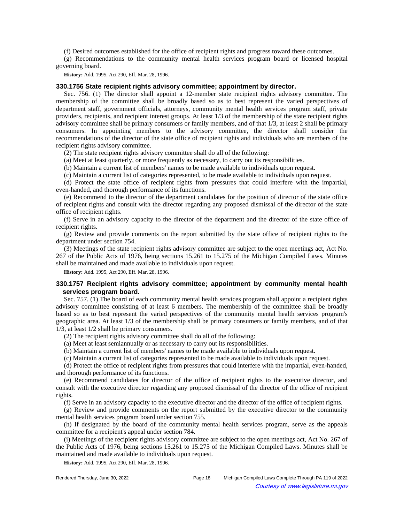(f) Desired outcomes established for the office of recipient rights and progress toward these outcomes.

(g) Recommendations to the community mental health services program board or licensed hospital governing board.

**History:** Add. 1995, Act 290, Eff. Mar. 28, 1996.

# **330.1756 State recipient rights advisory committee; appointment by director.**

Sec. 756. (1) The director shall appoint a 12-member state recipient rights advisory committee. The membership of the committee shall be broadly based so as to best represent the varied perspectives of department staff, government officials, attorneys, community mental health services program staff, private providers, recipients, and recipient interest groups. At least 1/3 of the membership of the state recipient rights advisory committee shall be primary consumers or family members, and of that 1/3, at least 2 shall be primary consumers. In appointing members to the advisory committee, the director shall consider the recommendations of the director of the state office of recipient rights and individuals who are members of the recipient rights advisory committee.

(2) The state recipient rights advisory committee shall do all of the following:

(a) Meet at least quarterly, or more frequently as necessary, to carry out its responsibilities.

(b) Maintain a current list of members' names to be made available to individuals upon request.

(c) Maintain a current list of categories represented, to be made available to individuals upon request.

(d) Protect the state office of recipient rights from pressures that could interfere with the impartial, even-handed, and thorough performance of its functions.

(e) Recommend to the director of the department candidates for the position of director of the state office of recipient rights and consult with the director regarding any proposed dismissal of the director of the state office of recipient rights.

(f) Serve in an advisory capacity to the director of the department and the director of the state office of recipient rights.

(g) Review and provide comments on the report submitted by the state office of recipient rights to the department under section 754.

(3) Meetings of the state recipient rights advisory committee are subject to the open meetings act, Act No. 267 of the Public Acts of 1976, being sections 15.261 to 15.275 of the Michigan Compiled Laws. Minutes shall be maintained and made available to individuals upon request.

**History:** Add. 1995, Act 290, Eff. Mar. 28, 1996.

# **330.1757 Recipient rights advisory committee; appointment by community mental health services program board.**

Sec. 757. (1) The board of each community mental health services program shall appoint a recipient rights advisory committee consisting of at least 6 members. The membership of the committee shall be broadly based so as to best represent the varied perspectives of the community mental health services program's geographic area. At least 1/3 of the membership shall be primary consumers or family members, and of that 1/3, at least 1/2 shall be primary consumers.

(2) The recipient rights advisory committee shall do all of the following:

(a) Meet at least semiannually or as necessary to carry out its responsibilities.

(b) Maintain a current list of members' names to be made available to individuals upon request.

(c) Maintain a current list of categories represented to be made available to individuals upon request.

(d) Protect the office of recipient rights from pressures that could interfere with the impartial, even-handed, and thorough performance of its functions.

(e) Recommend candidates for director of the office of recipient rights to the executive director, and consult with the executive director regarding any proposed dismissal of the director of the office of recipient rights.

(f) Serve in an advisory capacity to the executive director and the director of the office of recipient rights.

(g) Review and provide comments on the report submitted by the executive director to the community mental health services program board under section 755.

(h) If designated by the board of the community mental health services program, serve as the appeals committee for a recipient's appeal under section 784.

(i) Meetings of the recipient rights advisory committee are subject to the open meetings act, Act No. 267 of the Public Acts of 1976, being sections 15.261 to 15.275 of the Michigan Compiled Laws. Minutes shall be maintained and made available to individuals upon request.

**History:** Add. 1995, Act 290, Eff. Mar. 28, 1996.